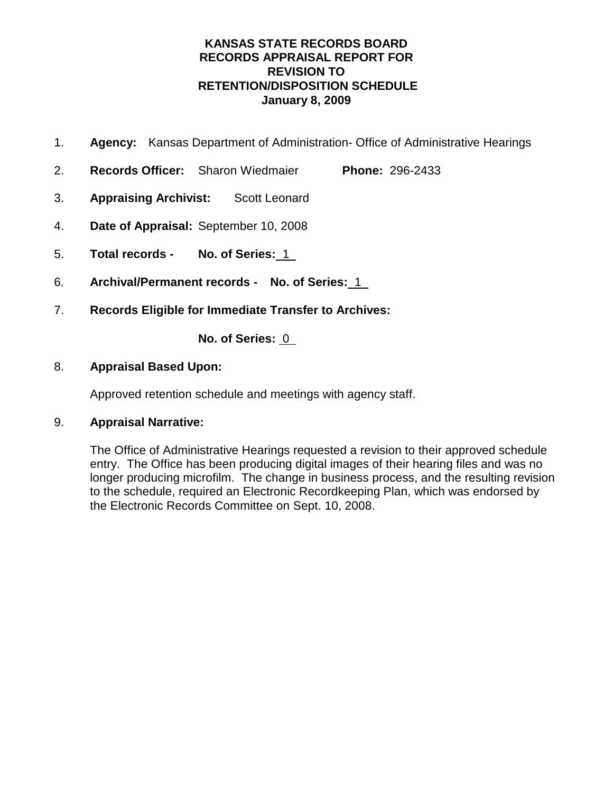- 1. **Agency:** Kansas Department of Administration- Office of Administrative Hearings
- 2. **Records Officer:** Sharon Wiedmaier **Phone:** 296-2433
- 3. **Appraising Archivist:** Scott Leonard
- 4. **Date of Appraisal:** September 10, 2008
- 5. **Total records No. of Series:** 1
- 6. **Archival/Permanent records No. of Series:** 1
- 7. **Records Eligible for Immediate Transfer to Archives:**

**No. of Series:** 0

## 8. **Appraisal Based Upon:**

Approved retention schedule and meetings with agency staff.

## 9. **Appraisal Narrative:**

The Office of Administrative Hearings requested a revision to their approved schedule entry. The Office has been producing digital images of their hearing files and was no longer producing microfilm. The change in business process, and the resulting revision to the schedule, required an Electronic Recordkeeping Plan, which was endorsed by the Electronic Records Committee on Sept. 10, 2008.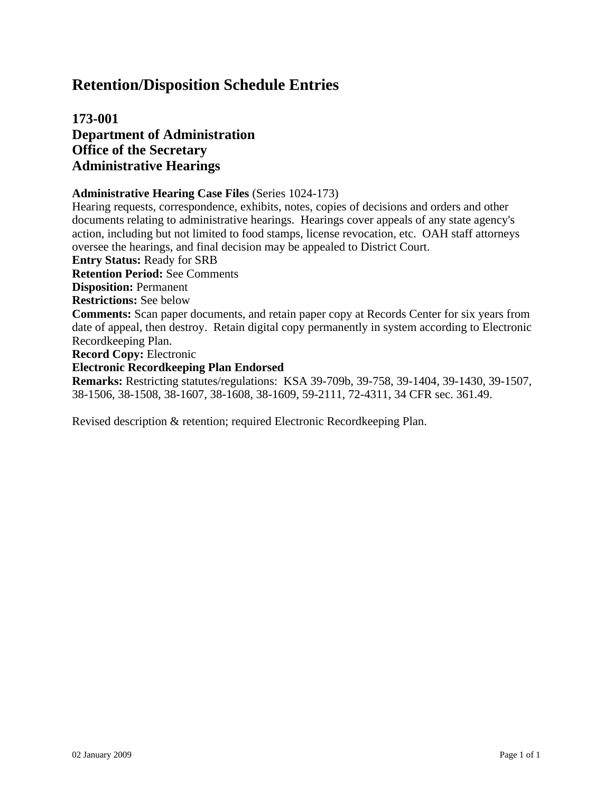## **173-001 Department of Administration Office of the Secretary Administrative Hearings**

#### **Administrative Hearing Case Files** (Series 1024-173)

Hearing requests, correspondence, exhibits, notes, copies of decisions and orders and other documents relating to administrative hearings. Hearings cover appeals of any state agency's action, including but not limited to food stamps, license revocation, etc. OAH staff attorneys oversee the hearings, and final decision may be appealed to District Court.

**Entry Status:** Ready for SRB

**Retention Period:** See Comments

**Disposition:** Permanent

**Restrictions:** See below

**Comments:** Scan paper documents, and retain paper copy at Records Center for six years from date of appeal, then destroy. Retain digital copy permanently in system according to Electronic Recordkeeping Plan.

**Record Copy:** Electronic

#### **Electronic Recordkeeping Plan Endorsed**

**Remarks:** Restricting statutes/regulations: KSA 39-709b, 39-758, 39-1404, 39-1430, 39-1507, 38-1506, 38-1508, 38-1607, 38-1608, 38-1609, 59-2111, 72-4311, 34 CFR sec. 361.49.

Revised description & retention; required Electronic Recordkeeping Plan.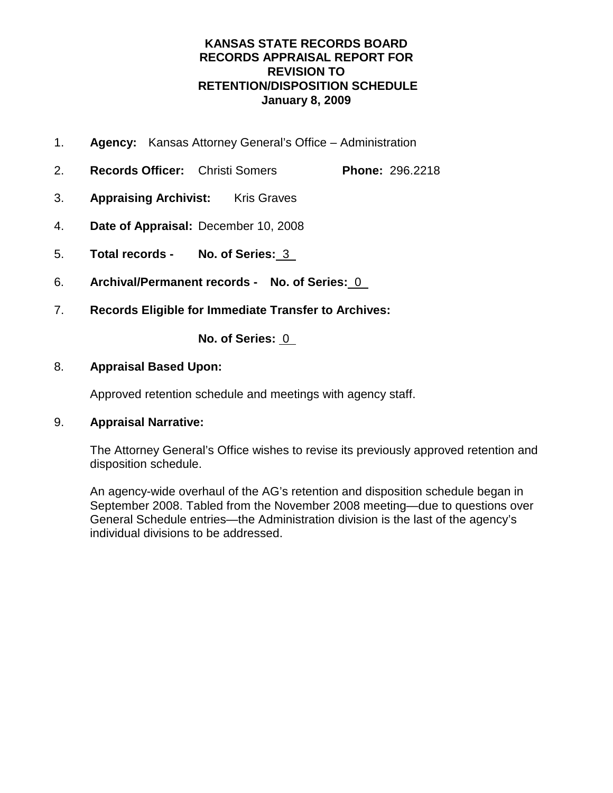- 1. **Agency:** Kansas Attorney General's Office Administration
- 2. **Records Officer:** Christi Somers **Phone:** 296.2218
- 3. **Appraising Archivist:** Kris Graves
- 4. **Date of Appraisal:** December 10, 2008
- 5. **Total records No. of Series:** 3
- 6. **Archival/Permanent records No. of Series:** 0
- 7. **Records Eligible for Immediate Transfer to Archives:**

**No. of Series:** 0

### 8. **Appraisal Based Upon:**

Approved retention schedule and meetings with agency staff.

## 9. **Appraisal Narrative:**

The Attorney General's Office wishes to revise its previously approved retention and disposition schedule.

An agency-wide overhaul of the AG's retention and disposition schedule began in September 2008. Tabled from the November 2008 meeting—due to questions over General Schedule entries—the Administration division is the last of the agency's individual divisions to be addressed.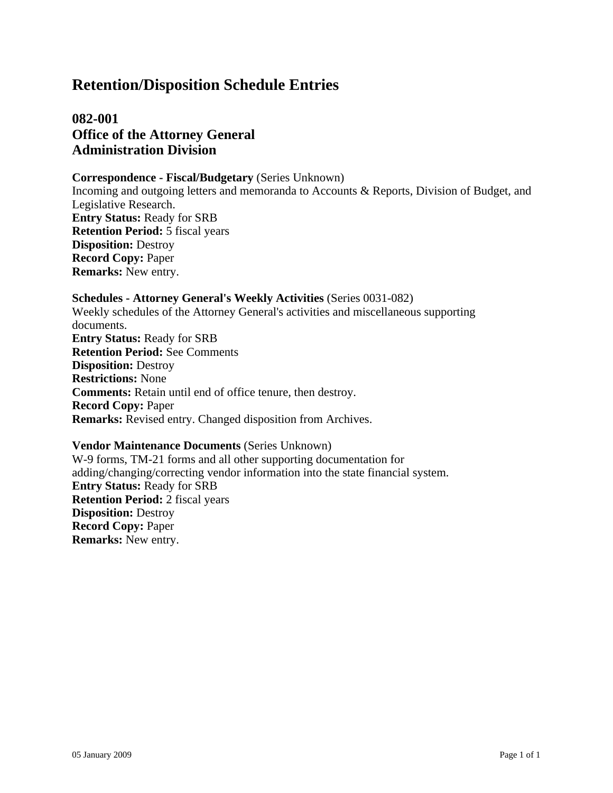**082-001 Office of the Attorney General Administration Division**

#### **Correspondence - Fiscal/Budgetary** (Series Unknown)

Incoming and outgoing letters and memoranda to Accounts & Reports, Division of Budget, and Legislative Research. **Entry Status:** Ready for SRB **Retention Period:** 5 fiscal years **Disposition:** Destroy **Record Copy:** Paper **Remarks:** New entry.

**Schedules - Attorney General's Weekly Activities** (Series 0031-082) Weekly schedules of the Attorney General's activities and miscellaneous supporting documents. **Entry Status:** Ready for SRB **Retention Period:** See Comments **Disposition:** Destroy **Restrictions:** None **Comments:** Retain until end of office tenure, then destroy. **Record Copy:** Paper **Remarks:** Revised entry. Changed disposition from Archives.

#### **Vendor Maintenance Documents** (Series Unknown)

W-9 forms, TM-21 forms and all other supporting documentation for adding/changing/correcting vendor information into the state financial system. **Entry Status:** Ready for SRB **Retention Period:** 2 fiscal years **Disposition:** Destroy **Record Copy:** Paper **Remarks:** New entry.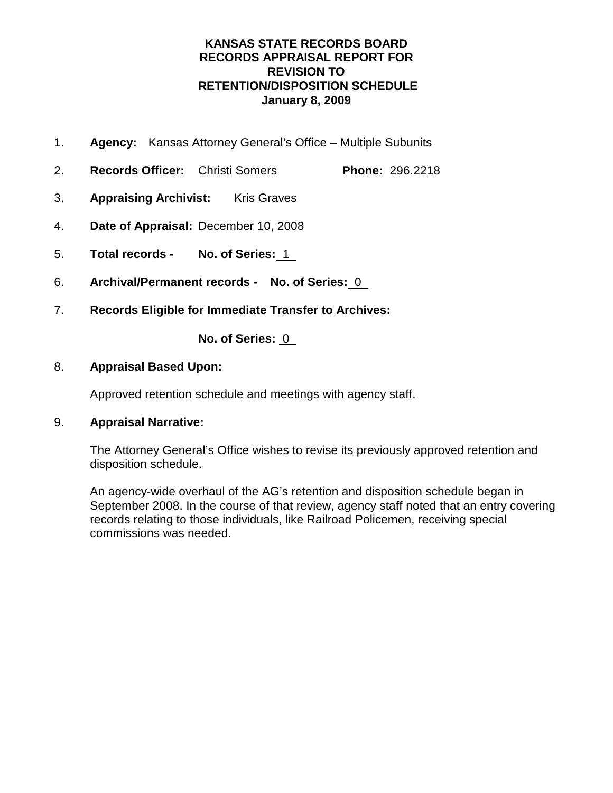- 1. **Agency:** Kansas Attorney General's Office Multiple Subunits
- 2. **Records Officer:** Christi Somers **Phone:** 296.2218
- 3. **Appraising Archivist:** Kris Graves
- 4. **Date of Appraisal:** December 10, 2008
- 5. **Total records No. of Series:** 1
- 6. **Archival/Permanent records No. of Series:** 0
- 7. **Records Eligible for Immediate Transfer to Archives:**

**No. of Series:** 0

### 8. **Appraisal Based Upon:**

Approved retention schedule and meetings with agency staff.

#### 9. **Appraisal Narrative:**

The Attorney General's Office wishes to revise its previously approved retention and disposition schedule.

An agency-wide overhaul of the AG's retention and disposition schedule began in September 2008. In the course of that review, agency staff noted that an entry covering records relating to those individuals, like Railroad Policemen, receiving special commissions was needed.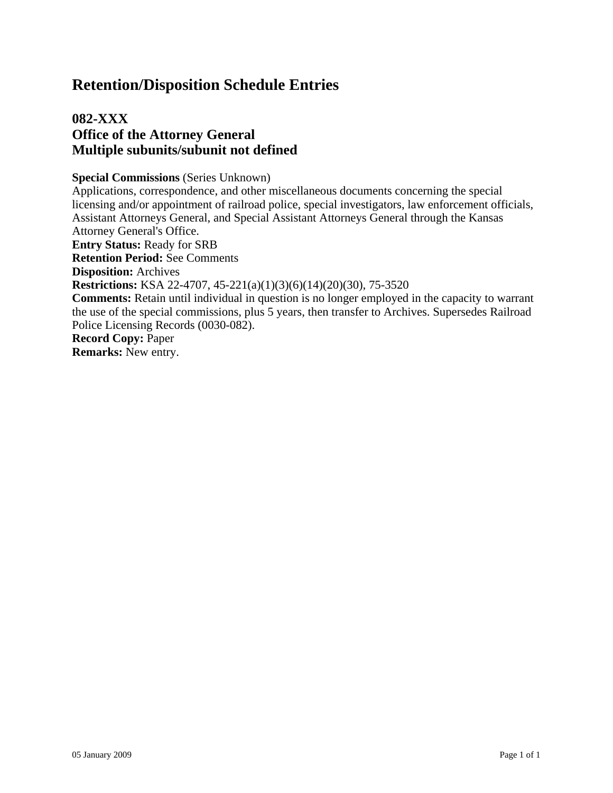## **082-XXX Office of the Attorney General Multiple subunits/subunit not defined**

#### **Special Commissions** (Series Unknown)

Applications, correspondence, and other miscellaneous documents concerning the special licensing and/or appointment of railroad police, special investigators, law enforcement officials, Assistant Attorneys General, and Special Assistant Attorneys General through the Kansas Attorney General's Office. **Entry Status:** Ready for SRB **Retention Period:** See Comments **Disposition:** Archives **Restrictions:** KSA 22-4707, 45-221(a)(1)(3)(6)(14)(20)(30), 75-3520 **Comments:** Retain until individual in question is no longer employed in the capacity to warrant the use of the special commissions, plus 5 years, then transfer to Archives. Supersedes Railroad Police Licensing Records (0030-082). **Record Copy:** Paper **Remarks:** New entry.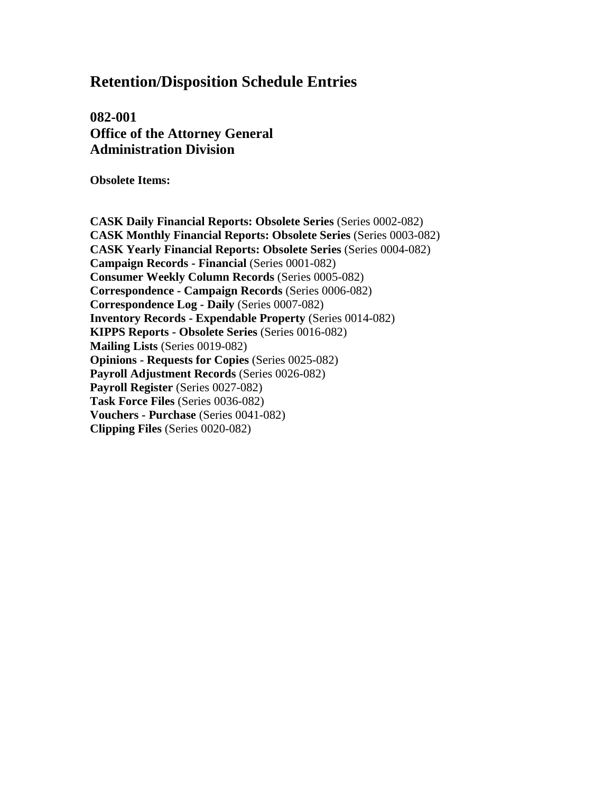**082-001 Office of the Attorney General Administration Division** 

**Obsolete Items:** 

**CASK Daily Financial Reports: Obsolete Series** (Series 0002-082) **CASK Monthly Financial Reports: Obsolete Series** (Series 0003-082) **CASK Yearly Financial Reports: Obsolete Series** (Series 0004-082) **Campaign Records - Financial** (Series 0001-082) **Consumer Weekly Column Records** (Series 0005-082) **Correspondence - Campaign Records** (Series 0006-082) **Correspondence Log - Daily** (Series 0007-082) **Inventory Records - Expendable Property** (Series 0014-082) **KIPPS Reports - Obsolete Series** (Series 0016-082) **Mailing Lists** (Series 0019-082) **Opinions - Requests for Copies** (Series 0025-082) **Payroll Adjustment Records** (Series 0026-082) Payroll Register *(Series 0027-082)* **Task Force Files** (Series 0036-082) **Vouchers - Purchase** (Series 0041-082) **Clipping Files** (Series 0020-082)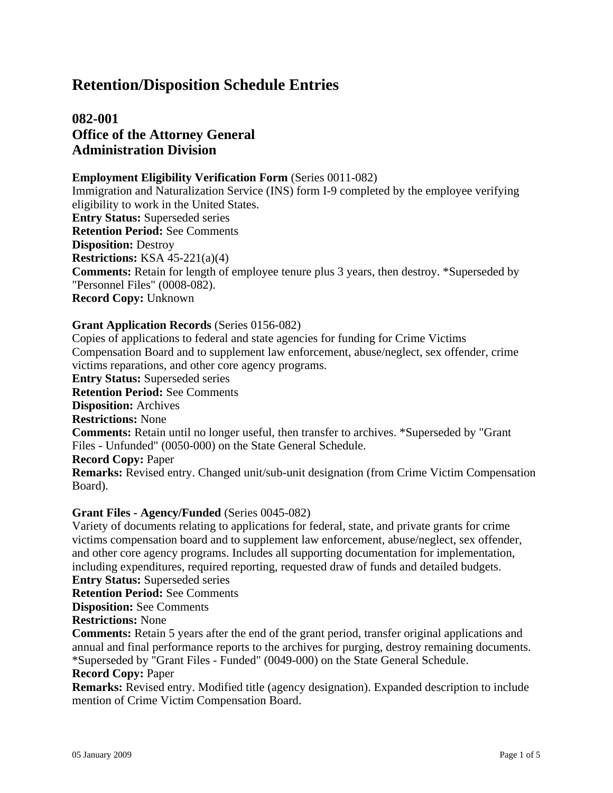## **082-001 Office of the Attorney General Administration Division**

#### **Employment Eligibility Verification Form** (Series 0011-082)

Immigration and Naturalization Service (INS) form I-9 completed by the employee verifying eligibility to work in the United States. **Entry Status:** Superseded series **Retention Period:** See Comments **Disposition:** Destroy **Restrictions:** KSA 45-221(a)(4) **Comments:** Retain for length of employee tenure plus 3 years, then destroy. \*Superseded by "Personnel Files" (0008-082). **Record Copy:** Unknown

#### **Grant Application Records** (Series 0156-082)

Copies of applications to federal and state agencies for funding for Crime Victims Compensation Board and to supplement law enforcement, abuse/neglect, sex offender, crime victims reparations, and other core agency programs.

**Entry Status:** Superseded series

**Retention Period:** See Comments

**Disposition:** Archives

**Restrictions:** None

**Comments:** Retain until no longer useful, then transfer to archives. \*Superseded by "Grant Files - Unfunded" (0050-000) on the State General Schedule.

**Record Copy:** Paper

**Remarks:** Revised entry. Changed unit/sub-unit designation (from Crime Victim Compensation Board).

#### **Grant Files - Agency/Funded** (Series 0045-082)

Variety of documents relating to applications for federal, state, and private grants for crime victims compensation board and to supplement law enforcement, abuse/neglect, sex offender, and other core agency programs. Includes all supporting documentation for implementation, including expenditures, required reporting, requested draw of funds and detailed budgets.

**Entry Status:** Superseded series

**Retention Period:** See Comments

**Disposition:** See Comments

### **Restrictions:** None

**Comments:** Retain 5 years after the end of the grant period, transfer original applications and annual and final performance reports to the archives for purging, destroy remaining documents. \*Superseded by "Grant Files - Funded" (0049-000) on the State General Schedule.

#### **Record Copy:** Paper

**Remarks:** Revised entry. Modified title (agency designation). Expanded description to include mention of Crime Victim Compensation Board.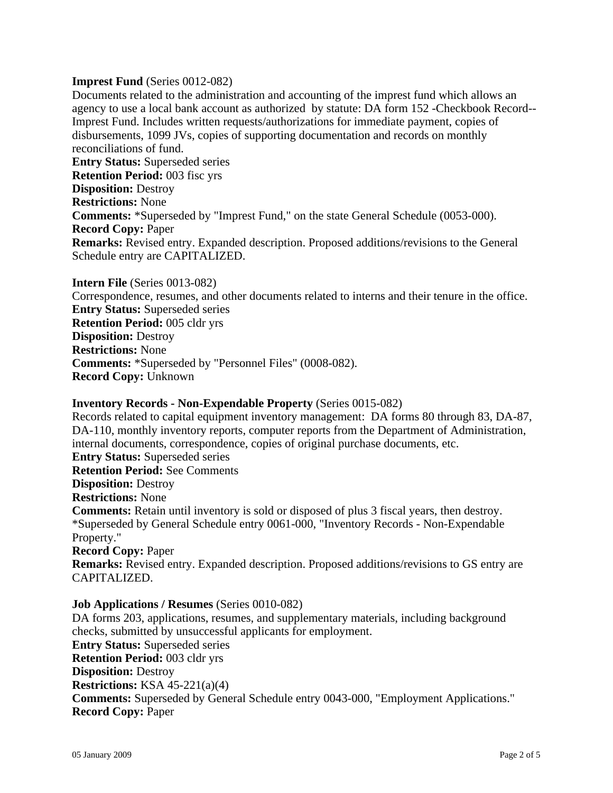#### **Imprest Fund** (Series 0012-082)

Documents related to the administration and accounting of the imprest fund which allows an agency to use a local bank account as authorized by statute: DA form 152 -Checkbook Record-- Imprest Fund. Includes written requests/authorizations for immediate payment, copies of disbursements, 1099 JVs, copies of supporting documentation and records on monthly reconciliations of fund. **Entry Status:** Superseded series **Retention Period:** 003 fisc yrs **Disposition:** Destroy **Restrictions:** None **Comments:** \*Superseded by "Imprest Fund," on the state General Schedule (0053-000). **Record Copy:** Paper

**Remarks:** Revised entry. Expanded description. Proposed additions/revisions to the General Schedule entry are CAPITALIZED.

## **Intern File** (Series 0013-082)

Correspondence, resumes, and other documents related to interns and their tenure in the office. **Entry Status:** Superseded series **Retention Period:** 005 cldr yrs **Disposition:** Destroy **Restrictions:** None **Comments:** \*Superseded by "Personnel Files" (0008-082). **Record Copy:** Unknown

#### **Inventory Records - Non-Expendable Property** (Series 0015-082)

Records related to capital equipment inventory management: DA forms 80 through 83, DA-87, DA-110, monthly inventory reports, computer reports from the Department of Administration, internal documents, correspondence, copies of original purchase documents, etc. **Entry Status:** Superseded series **Retention Period:** See Comments **Disposition:** Destroy **Restrictions:** None **Comments:** Retain until inventory is sold or disposed of plus 3 fiscal years, then destroy. \*Superseded by General Schedule entry 0061-000, "Inventory Records - Non-Expendable Property."

## **Record Copy:** Paper

**Remarks:** Revised entry. Expanded description. Proposed additions/revisions to GS entry are CAPITALIZED.

#### **Job Applications / Resumes** (Series 0010-082)

DA forms 203, applications, resumes, and supplementary materials, including background checks, submitted by unsuccessful applicants for employment.

**Entry Status:** Superseded series **Retention Period:** 003 cldr yrs **Disposition:** Destroy **Restrictions:** KSA 45-221(a)(4) **Comments:** Superseded by General Schedule entry 0043-000, "Employment Applications." **Record Copy:** Paper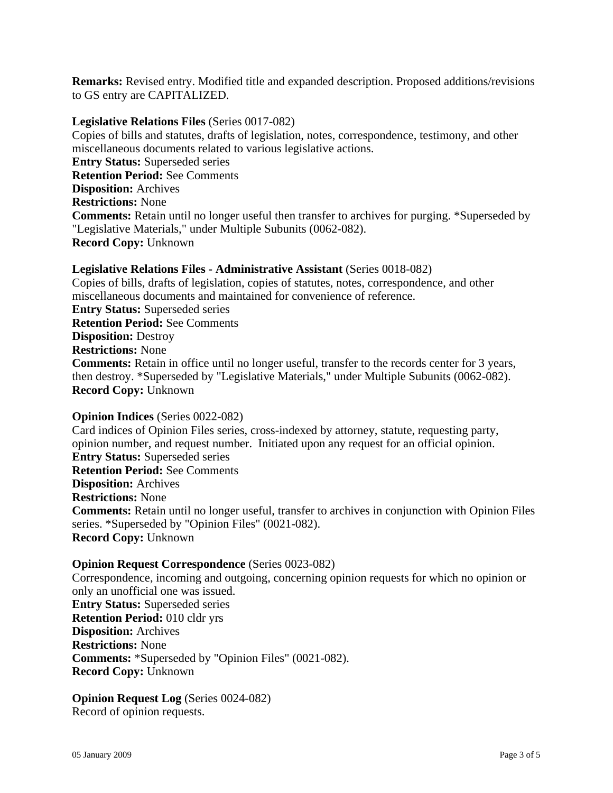**Remarks:** Revised entry. Modified title and expanded description. Proposed additions/revisions to GS entry are CAPITALIZED.

#### **Legislative Relations Files** (Series 0017-082)

Copies of bills and statutes, drafts of legislation, notes, correspondence, testimony, and other miscellaneous documents related to various legislative actions. **Entry Status:** Superseded series **Retention Period:** See Comments **Disposition:** Archives **Restrictions:** None **Comments:** Retain until no longer useful then transfer to archives for purging. \*Superseded by "Legislative Materials," under Multiple Subunits (0062-082). **Record Copy:** Unknown

#### **Legislative Relations Files - Administrative Assistant** (Series 0018-082)

Copies of bills, drafts of legislation, copies of statutes, notes, correspondence, and other miscellaneous documents and maintained for convenience of reference. **Entry Status:** Superseded series **Retention Period:** See Comments **Disposition:** Destroy **Restrictions:** None **Comments:** Retain in office until no longer useful, transfer to the records center for 3 years, then destroy. \*Superseded by "Legislative Materials," under Multiple Subunits (0062-082). **Record Copy:** Unknown

#### **Opinion Indices** (Series 0022-082)

Card indices of Opinion Files series, cross-indexed by attorney, statute, requesting party, opinion number, and request number. Initiated upon any request for an official opinion. **Entry Status:** Superseded series **Retention Period:** See Comments **Disposition:** Archives **Restrictions:** None **Comments:** Retain until no longer useful, transfer to archives in conjunction with Opinion Files series. \*Superseded by "Opinion Files" (0021-082). **Record Copy:** Unknown

#### **Opinion Request Correspondence** (Series 0023-082)

Correspondence, incoming and outgoing, concerning opinion requests for which no opinion or only an unofficial one was issued. **Entry Status:** Superseded series **Retention Period:** 010 cldr yrs **Disposition:** Archives **Restrictions:** None **Comments:** \*Superseded by "Opinion Files" (0021-082). **Record Copy:** Unknown

**Opinion Request Log** (Series 0024-082) Record of opinion requests.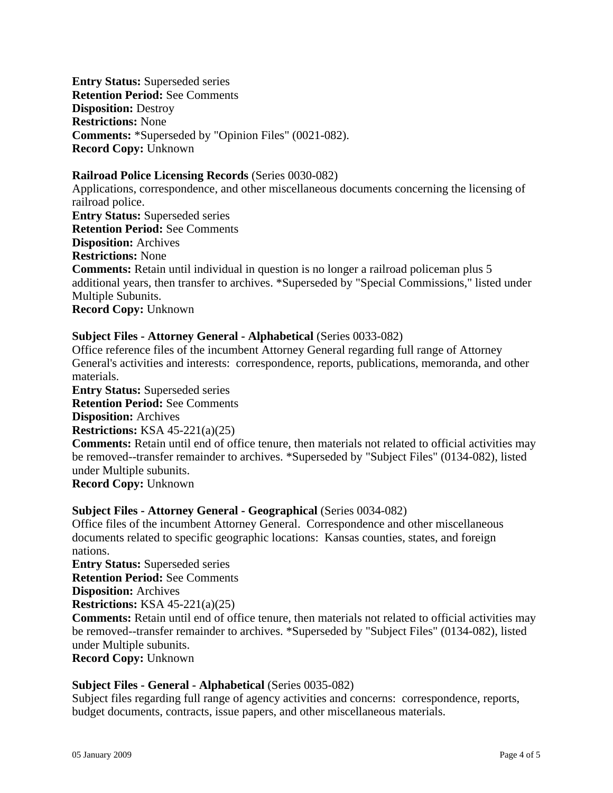**Entry Status:** Superseded series **Retention Period:** See Comments **Disposition:** Destroy **Restrictions:** None **Comments:** \*Superseded by "Opinion Files" (0021-082). **Record Copy:** Unknown

#### **Railroad Police Licensing Records** (Series 0030-082)

Applications, correspondence, and other miscellaneous documents concerning the licensing of railroad police. **Entry Status:** Superseded series **Retention Period:** See Comments **Disposition:** Archives **Restrictions:** None **Comments:** Retain until individual in question is no longer a railroad policeman plus 5 additional years, then transfer to archives. \*Superseded by "Special Commissions," listed under Multiple Subunits.

**Record Copy:** Unknown

#### **Subject Files - Attorney General - Alphabetical** (Series 0033-082)

Office reference files of the incumbent Attorney General regarding full range of Attorney General's activities and interests: correspondence, reports, publications, memoranda, and other materials.

**Entry Status:** Superseded series **Retention Period:** See Comments **Disposition:** Archives

**Restrictions:** KSA 45-221(a)(25)

**Comments:** Retain until end of office tenure, then materials not related to official activities may be removed--transfer remainder to archives. \*Superseded by "Subject Files" (0134-082), listed under Multiple subunits.

**Record Copy:** Unknown

#### **Subject Files - Attorney General - Geographical** (Series 0034-082)

Office files of the incumbent Attorney General. Correspondence and other miscellaneous documents related to specific geographic locations: Kansas counties, states, and foreign nations.

**Entry Status:** Superseded series

**Retention Period:** See Comments

**Disposition:** Archives

**Restrictions:** KSA 45-221(a)(25)

**Comments:** Retain until end of office tenure, then materials not related to official activities may be removed--transfer remainder to archives. \*Superseded by "Subject Files" (0134-082), listed under Multiple subunits.

**Record Copy:** Unknown

#### **Subject Files - General - Alphabetical** (Series 0035-082)

Subject files regarding full range of agency activities and concerns: correspondence, reports, budget documents, contracts, issue papers, and other miscellaneous materials.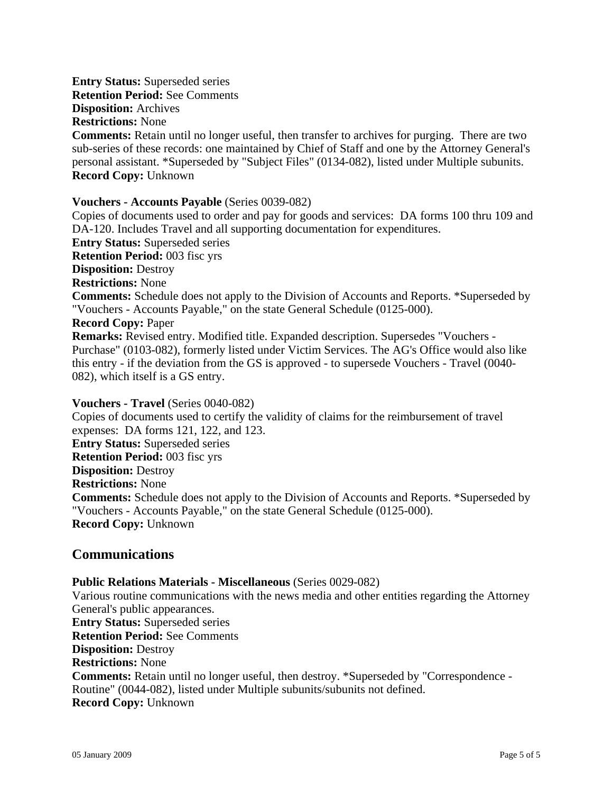**Entry Status:** Superseded series **Retention Period:** See Comments **Disposition:** Archives **Restrictions:** None

**Comments:** Retain until no longer useful, then transfer to archives for purging. There are two sub-series of these records: one maintained by Chief of Staff and one by the Attorney General's personal assistant. \*Superseded by "Subject Files" (0134-082), listed under Multiple subunits. **Record Copy:** Unknown

#### **Vouchers - Accounts Payable** (Series 0039-082)

Copies of documents used to order and pay for goods and services: DA forms 100 thru 109 and DA-120. Includes Travel and all supporting documentation for expenditures. **Entry Status:** Superseded series **Retention Period:** 003 fisc yrs **Disposition:** Destroy **Restrictions:** None **Comments:** Schedule does not apply to the Division of Accounts and Reports. \*Superseded by "Vouchers - Accounts Payable," on the state General Schedule (0125-000). **Record Copy:** Paper **Remarks:** Revised entry. Modified title. Expanded description. Supersedes "Vouchers - Purchase" (0103-082), formerly listed under Victim Services. The AG's Office would also like this entry - if the deviation from the GS is approved - to supersede Vouchers - Travel (0040- 082), which itself is a GS entry.

#### **Vouchers - Travel** (Series 0040-082)

Copies of documents used to certify the validity of claims for the reimbursement of travel expenses: DA forms 121, 122, and 123. **Entry Status:** Superseded series **Retention Period:** 003 fisc yrs **Disposition:** Destroy **Restrictions:** None **Comments:** Schedule does not apply to the Division of Accounts and Reports. \*Superseded by "Vouchers - Accounts Payable," on the state General Schedule (0125-000). **Record Copy:** Unknown

## **Communications**

#### **Public Relations Materials - Miscellaneous** (Series 0029-082)

Various routine communications with the news media and other entities regarding the Attorney General's public appearances. **Entry Status:** Superseded series **Retention Period:** See Comments **Disposition:** Destroy **Restrictions:** None **Comments:** Retain until no longer useful, then destroy. \*Superseded by "Correspondence - Routine" (0044-082), listed under Multiple subunits/subunits not defined. **Record Copy:** Unknown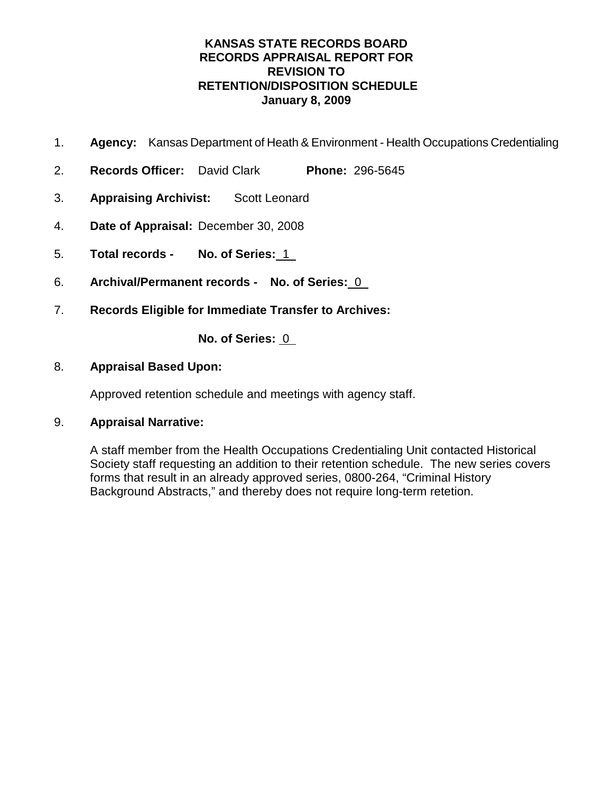- 1. **Agency:** Kansas Department of Heath & Environment Health Occupations Credentialing
- 2. **Records Officer:** David Clark **Phone:** 296-5645
- 3. **Appraising Archivist:** Scott Leonard
- 4. **Date of Appraisal:** December 30, 2008
- 5. **Total records No. of Series:** 1
- 6. **Archival/Permanent records No. of Series:** 0
- 7. **Records Eligible for Immediate Transfer to Archives:**

**No. of Series:** 0

### 8. **Appraisal Based Upon:**

Approved retention schedule and meetings with agency staff.

## 9. **Appraisal Narrative:**

A staff member from the Health Occupations Credentialing Unit contacted Historical Society staff requesting an addition to their retention schedule. The new series covers forms that result in an already approved series, 0800-264, "Criminal History Background Abstracts," and thereby does not require long-term retetion.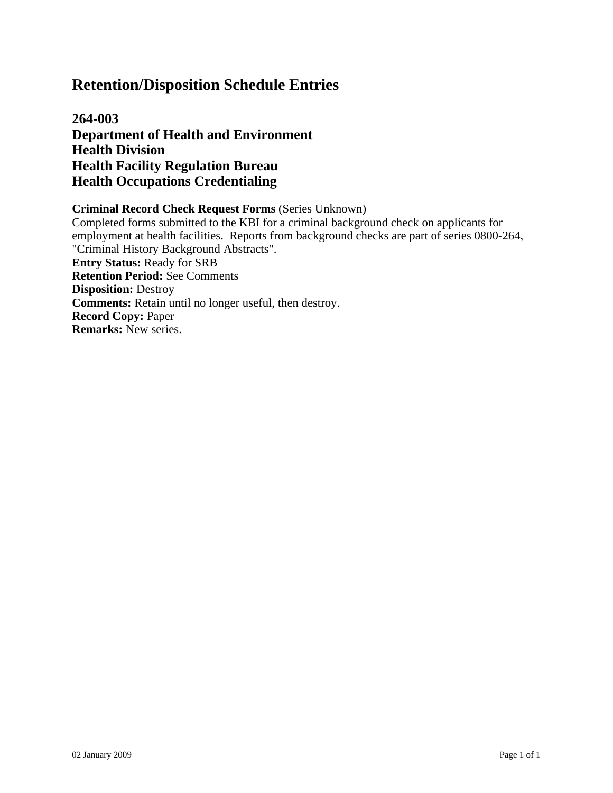**264-003 Department of Health and Environment Health Division Health Facility Regulation Bureau Health Occupations Credentialing**

#### **Criminal Record Check Request Forms** (Series Unknown)

Completed forms submitted to the KBI for a criminal background check on applicants for employment at health facilities. Reports from background checks are part of series 0800-264, "Criminal History Background Abstracts". **Entry Status:** Ready for SRB **Retention Period:** See Comments **Disposition:** Destroy **Comments:** Retain until no longer useful, then destroy. **Record Copy:** Paper **Remarks:** New series.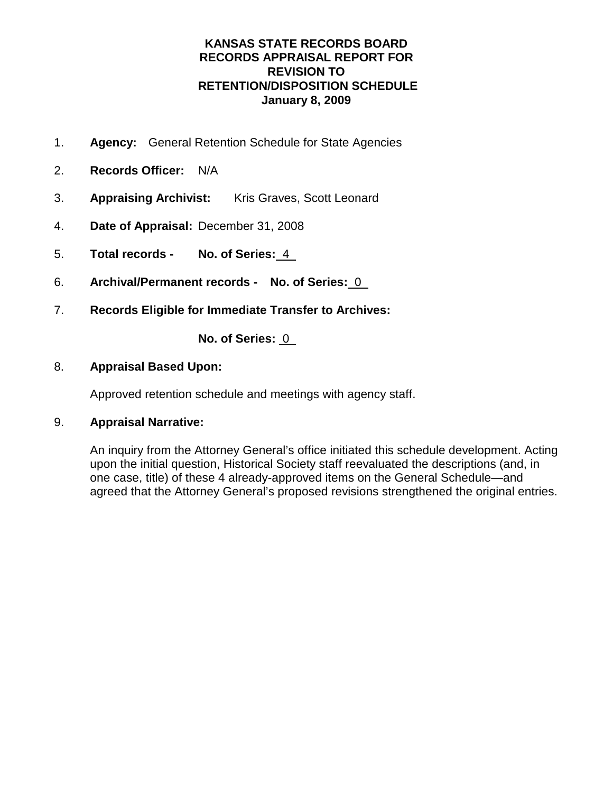- 1. **Agency:** General Retention Schedule for State Agencies
- 2. **Records Officer:** N/A
- 3. **Appraising Archivist:** Kris Graves, Scott Leonard
- 4. **Date of Appraisal:** December 31, 2008
- 5. **Total records No. of Series:** 4
- 6. **Archival/Permanent records No. of Series:** 0
- 7. **Records Eligible for Immediate Transfer to Archives:**

**No. of Series:** 0

### 8. **Appraisal Based Upon:**

Approved retention schedule and meetings with agency staff.

## 9. **Appraisal Narrative:**

An inquiry from the Attorney General's office initiated this schedule development. Acting upon the initial question, Historical Society staff reevaluated the descriptions (and, in one case, title) of these 4 already-approved items on the General Schedule—and agreed that the Attorney General's proposed revisions strengthened the original entries.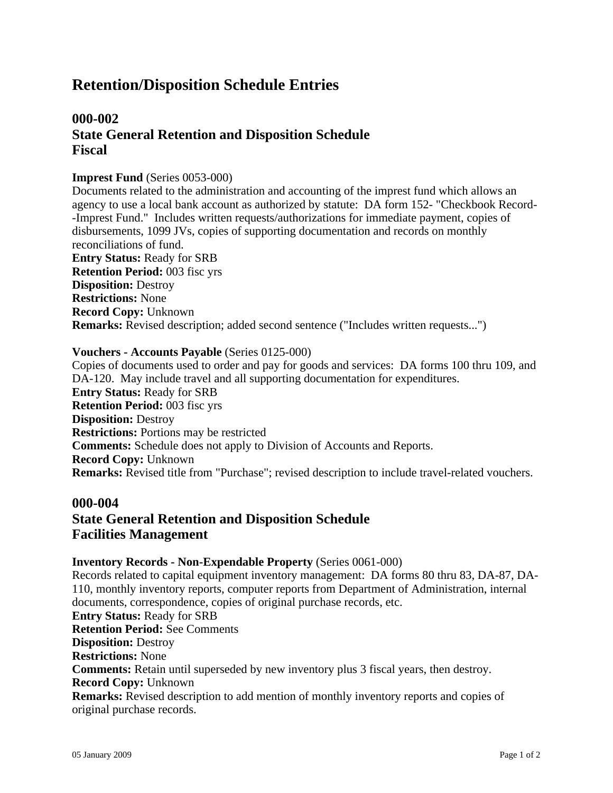## **000-002 State General Retention and Disposition Schedule Fiscal**

#### **Imprest Fund** (Series 0053-000)

Documents related to the administration and accounting of the imprest fund which allows an agency to use a local bank account as authorized by statute: DA form 152- "Checkbook Record- -Imprest Fund." Includes written requests/authorizations for immediate payment, copies of disbursements, 1099 JVs, copies of supporting documentation and records on monthly reconciliations of fund. **Entry Status:** Ready for SRB **Retention Period:** 003 fisc yrs **Disposition:** Destroy **Restrictions:** None **Record Copy:** Unknown **Remarks:** Revised description; added second sentence ("Includes written requests...")

#### **Vouchers - Accounts Payable** (Series 0125-000)

Copies of documents used to order and pay for goods and services: DA forms 100 thru 109, and DA-120. May include travel and all supporting documentation for expenditures. **Entry Status:** Ready for SRB **Retention Period:** 003 fisc yrs **Disposition:** Destroy **Restrictions:** Portions may be restricted **Comments:** Schedule does not apply to Division of Accounts and Reports. **Record Copy:** Unknown **Remarks:** Revised title from "Purchase"; revised description to include travel-related vouchers.

#### **000-004**

## **State General Retention and Disposition Schedule Facilities Management**

#### **Inventory Records - Non-Expendable Property** (Series 0061-000)

Records related to capital equipment inventory management: DA forms 80 thru 83, DA-87, DA-110, monthly inventory reports, computer reports from Department of Administration, internal documents, correspondence, copies of original purchase records, etc. **Entry Status:** Ready for SRB **Retention Period:** See Comments **Disposition:** Destroy **Restrictions:** None **Comments:** Retain until superseded by new inventory plus 3 fiscal years, then destroy. **Record Copy:** Unknown **Remarks:** Revised description to add mention of monthly inventory reports and copies of original purchase records.